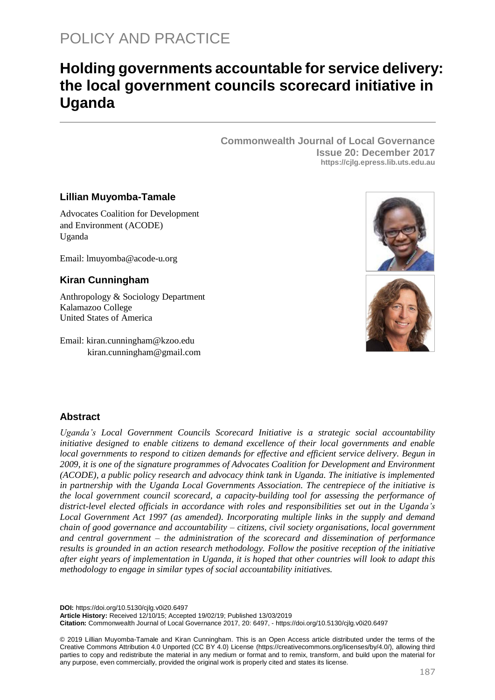# **Holding governments accountable for service delivery: the local government councils scorecard initiative in Uganda**

**Commonwealth Journal of Local Governance Issue 20: December 2017 https://cjlg.epress.lib.uts.edu.au**

# **Lillian Muyomba-Tamale**

Advocates Coalition for Development and Environment (ACODE) Uganda

Email: lmuyomba@acode-u.org

# **Kiran Cunningham**

Anthropology & Sociology Department Kalamazoo College United States of America

Email: [kiran.cunningham@kzoo.edu](mailto:kiran.cunningham@kzoo.edu) kiran.cunningham@gmail.com





# **Abstract**

*Uganda's Local Government Councils Scorecard Initiative is a strategic social accountability initiative designed to enable citizens to demand excellence of their local governments and enable local governments to respond to citizen demands for effective and efficient service delivery. Begun in 2009, it is one of the signature programmes of Advocates Coalition for Development and Environment (ACODE), a public policy research and advocacy think tank in Uganda. The initiative is implemented in partnership with the Uganda Local Governments Association. The centrepiece of the initiative is the local government council scorecard, a capacity-building tool for assessing the performance of district-level elected officials in accordance with roles and responsibilities set out in the Uganda's Local Government Act 1997 (as amended). Incorporating multiple links in the supply and demand chain of good governance and accountability – citizens, civil society organisations, local government and central government – the administration of the scorecard and dissemination of performance results is grounded in an action research methodology. Follow the positive reception of the initiative after eight years of implementation in Uganda, it is hoped that other countries will look to adapt this methodology to engage in similar types of social accountability initiatives.*

**DOI:** https://doi.org/10.5130/cjlg.v0i20.6497

**Article History:** Received 12/10/15; Accepted 19/02/19; Published 13/03/2019

**Citation:** Commonwealth Journal of Local Governance 2017, 20: 6497, - https://doi.org/10.5130/cjlg.v0i20.6497

© 2019 Lillian Muyomba-Tamale and Kiran Cunningham. This is an Open Access article distributed under the terms of the Creative Commons Attribution 4.0 Unported (CC BY 4.0) License [\(https://creativecommons.org/licenses/by/4.0/\)](https://creativecommons.org/licenses/by/4.0/), allowing third parties to copy and redistribute the material in any medium or format and to remix, transform, and build upon the material for any purpose, even commercially, provided the original work is properly cited and states its license.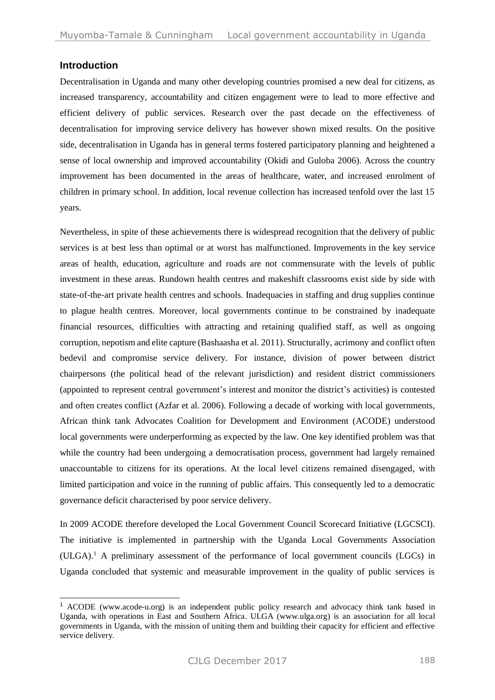## **Introduction**

 $\overline{a}$ 

Decentralisation in Uganda and many other developing countries promised a new deal for citizens, as increased transparency, accountability and citizen engagement were to lead to more effective and efficient delivery of public services. Research over the past decade on the effectiveness of decentralisation for improving service delivery has however shown mixed results. On the positive side, decentralisation in Uganda has in general terms fostered participatory planning and heightened a sense of local ownership and improved accountability (Okidi and Guloba 2006). Across the country improvement has been documented in the areas of healthcare, water, and increased enrolment of children in primary school. In addition, local revenue collection has increased tenfold over the last 15 years.

Nevertheless, in spite of these achievements there is widespread recognition that the delivery of public services is at best less than optimal or at worst has malfunctioned. Improvements in the key service areas of health, education, agriculture and roads are not commensurate with the levels of public investment in these areas. Rundown health centres and makeshift classrooms exist side by side with state-of-the-art private health centres and schools. Inadequacies in staffing and drug supplies continue to plague health centres. Moreover, local governments continue to be constrained by inadequate financial resources, difficulties with attracting and retaining qualified staff, as well as ongoing corruption, nepotism and elite capture [\(Bashaasha](#page-17-0) et al. 2011). Structurally, acrimony and conflict often bedevil and compromise service delivery. For instance, division of power between district chairpersons (the political head of the relevant jurisdiction) and resident district commissioners (appointed to represent central government's interest and monitor the district's activities) is contested and often creates conflict [\(Azfar et al. 2006\)](#page-17-1). Following a decade of working with local governments, African think tank Advocates Coalition for Development and Environment (ACODE) understood local governments were underperforming as expected by the law. One key identified problem was that while the country had been undergoing a democratisation process, government had largely remained unaccountable to citizens for its operations. At the local level citizens remained disengaged, with limited participation and voice in the running of public affairs. This consequently led to a democratic governance deficit characterised by poor service delivery.

In 2009 ACODE therefore developed the Local Government Council Scorecard Initiative (LGCSCI). The initiative is implemented in partnership with the Uganda Local Governments Association  $(ULGA)^1$ . A preliminary assessment of the performance of local government councils  $(LGCs)$  in Uganda concluded that systemic and measurable improvement in the quality of public services is

<sup>1</sup> ACODE (www.acode-u.org) is an independent public policy research and advocacy think tank based in Uganda, with operations in East and Southern Africa. ULGA (www.ulga.org) is an association for all local governments in Uganda, with the mission of uniting them and building their capacity for efficient and effective service delivery.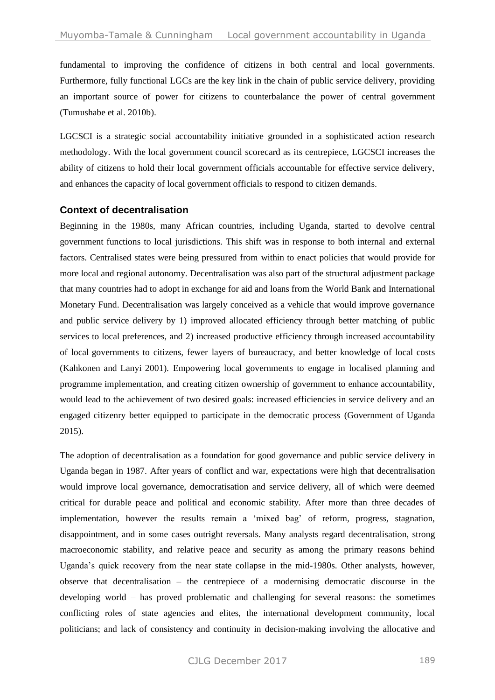fundamental to improving the confidence of citizens in both central and local governments. Furthermore, fully functional LGCs are the key link in the chain of public service delivery, providing an important source of power for citizens to counterbalance the power of central government [\(Tumushabe et al. 2010b\)](#page-18-0).

LGCSCI is a strategic social accountability initiative grounded in a sophisticated action research methodology. With the local government council scorecard as its centrepiece, LGCSCI increases the ability of citizens to hold their local government officials accountable for effective service delivery, and enhances the capacity of local government officials to respond to citizen demands.

## **Context of decentralisation**

Beginning in the 1980s, many African countries, including Uganda, started to devolve central government functions to local jurisdictions. This shift was in response to both internal and external factors. Centralised states were being pressured from within to enact policies that would provide for more local and regional autonomy. Decentralisation was also part of the structural adjustment package that many countries had to adopt in exchange for aid and loans from the World Bank and International Monetary Fund. Decentralisation was largely conceived as a vehicle that would improve governance and public service delivery by 1) improved allocated efficiency through better matching of public services to local preferences, and 2) increased productive efficiency through increased accountability of local governments to citizens, fewer layers of bureaucracy, and better knowledge of local costs [\(Kahkonen](#page-18-1) and Lanyi 2001). Empowering local governments to engage in localised planning and programme implementation, and creating citizen ownership of government to enhance accountability, would lead to the achievement of two desired goals: increased efficiencies in service delivery and an engaged citizenry better equipped to participate in the democratic process (Government of Uganda 2015).

The adoption of decentralisation as a foundation for good governance and public service delivery in Uganda began in 1987. After years of conflict and war, expectations were high that decentralisation would improve local governance, democratisation and service delivery, all of which were deemed critical for durable peace and political and economic stability. After more than three decades of implementation, however the results remain a 'mixed bag' of reform, progress, stagnation, disappointment, and in some cases outright reversals. Many analysts regard decentralisation, strong macroeconomic stability, and relative peace and security as among the primary reasons behind Uganda's quick recovery from the near state collapse in the mid-1980s. Other analysts, however, observe that decentralisation – the centrepiece of a modernising democratic discourse in the developing world – has proved problematic and challenging for several reasons: the sometimes conflicting roles of state agencies and elites, the international development community, local politicians; and lack of consistency and continuity in decision-making involving the allocative and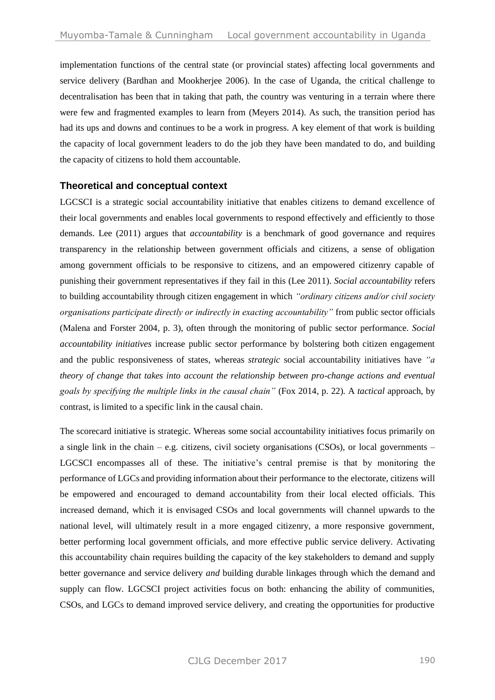implementation functions of the central state (or provincial states) affecting local governments and service delivery [\(Bardhan and Mookherjee 2006\)](#page-17-2). In the case of Uganda, the critical challenge to decentralisation has been that in taking that path, the country was venturing in a terrain where there were few and fragmented examples to learn from [\(Meyers 2014\)](#page-18-2). As such, the transition period has had its ups and downs and continues to be a work in progress. A key element of that work is building the capacity of local government leaders to do the job they have been mandated to do, and building the capacity of citizens to hold them accountable.

# **Theoretical and conceptual context**

LGCSCI is a strategic social accountability initiative that enables citizens to demand excellence of their local governments and enables local governments to respond effectively and efficiently to those demands. Lee (2011) argues that *accountability* is a benchmark of good governance and requires transparency in the relationship between government officials and citizens, a sense of obligation among government officials to be responsive to citizens, and an empowered citizenry capable of punishing their government representatives if they fail in this (Lee [2011\)](#page-18-3). *Social accountability* refers to building accountability through citizen engagement in which *"ordinary citizens and/or civil society organisations participate directly or indirectly in exacting accountability"* from public sector officials [\(Malena and Forster 2004,](#page-18-4) p. 3), often through the monitoring of public sector performance. *Social accountability initiatives* increase public sector performance by bolstering both citizen engagement and the public responsiveness of states, whereas *strategic* social accountability initiatives have *"a theory of change that takes into account the relationship between pro-change actions and eventual goals by specifying the multiple links in the causal chain"* [\(Fox 2014,](#page-18-5) p. 22)*.* A *tactical* approach, by contrast, is limited to a specific link in the causal chain.

The scorecard initiative is strategic. Whereas some social accountability initiatives focus primarily on a single link in the chain – e.g. citizens, civil society organisations (CSOs), or local governments – LGCSCI encompasses all of these. The initiative's central premise is that by monitoring the performance of LGCs and providing information about their performance to the electorate, citizens will be empowered and encouraged to demand accountability from their local elected officials. This increased demand, which it is envisaged CSOs and local governments will channel upwards to the national level, will ultimately result in a more engaged citizenry, a more responsive government, better performing local government officials, and more effective public service delivery. Activating this accountability chain requires building the capacity of the key stakeholders to demand and supply better governance and service delivery *and* building durable linkages through which the demand and supply can flow. LGCSCI project activities focus on both: enhancing the ability of communities, CSOs, and LGCs to demand improved service delivery, and creating the opportunities for productive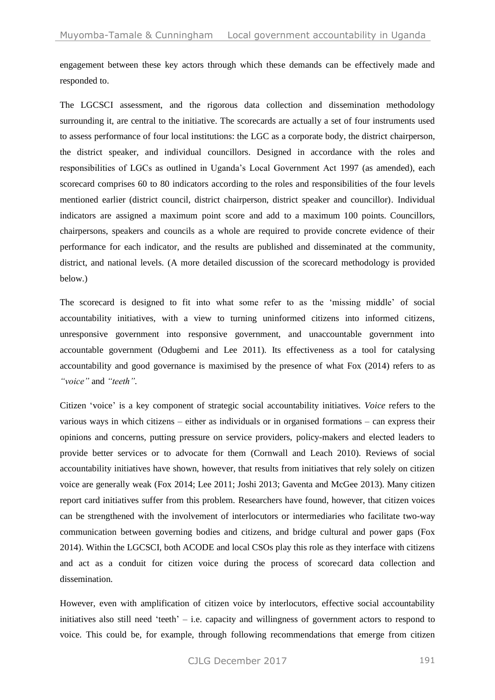engagement between these key actors through which these demands can be effectively made and responded to.

The LGCSCI assessment, and the rigorous data collection and dissemination methodology surrounding it, are central to the initiative. The scorecards are actually a set of four instruments used to assess performance of four local institutions: the LGC as a corporate body, the district chairperson, the district speaker, and individual councillors. Designed in accordance with the roles and responsibilities of LGCs as outlined in Uganda's Local Government Act 1997 (as amended), each scorecard comprises 60 to 80 indicators according to the roles and responsibilities of the four levels mentioned earlier (district council, district chairperson, district speaker and councillor). Individual indicators are assigned a maximum point score and add to a maximum 100 points. Councillors, chairpersons, speakers and councils as a whole are required to provide concrete evidence of their performance for each indicator, and the results are published and disseminated at the community, district, and national levels. (A more detailed discussion of the scorecard methodology is provided below.)

The scorecard is designed to fit into what some refer to as the 'missing middle' of social accountability initiatives, with a view to turning uninformed citizens into informed citizens, unresponsive government into responsive government, and unaccountable government into accountable government [\(Odugbemi and Lee](#page-18-6) 2011). Its effectiveness as a tool for catalysing accountability and good governance is maximised by the presence of what Fox (2014) refers to as *"voice"* and *"teeth".*

Citizen 'voice' is a key component of strategic social accountability initiatives. *Voice* refers to the various ways in which citizens – either as individuals or in organised formations – can express their opinions and concerns, putting pressure on service providers, policy-makers and elected leaders to provide better services or to advocate for them (Cornwall and Leach 2010). Reviews of social accountability initiatives have shown, however, that results from initiatives that rely solely on citizen voice are generally weak (Fox [2014;](#page-18-5) Lee [2011;](#page-18-3) [Joshi](#page-18-7) 2013; [Gaventa and McGee](#page-18-8) 2013). Many citizen report card initiatives suffer from this problem. Researchers have found, however, that citizen voices can be strengthened with the involvement of interlocutors or intermediaries who facilitate two-way communication between governing bodies and citizens, and bridge cultural and power gaps [\(Fox](#page-18-5) [2014\)](#page-18-5). Within the LGCSCI, both ACODE and local CSOs play this role as they interface with citizens and act as a conduit for citizen voice during the process of scorecard data collection and dissemination.

However, even with amplification of citizen voice by interlocutors, effective social accountability initiatives also still need 'teeth' – i.e. capacity and willingness of government actors to respond to voice. This could be, for example, through following recommendations that emerge from citizen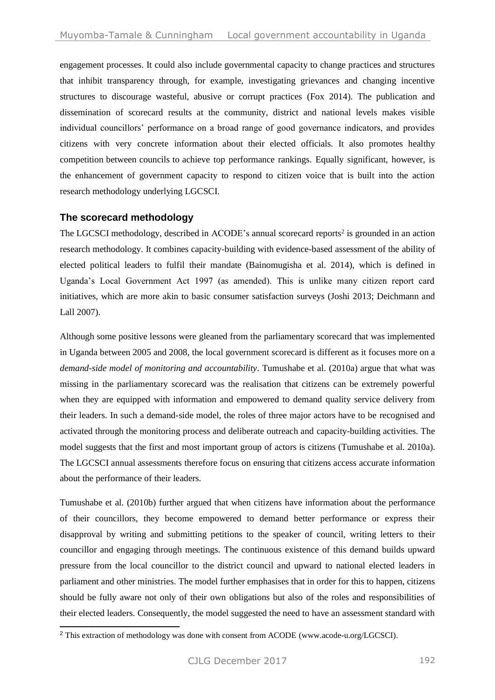engagement processes. It could also include governmental capacity to change practices and structures that inhibit transparency through, for example, investigating grievances and changing incentive structures to discourage wasteful, abusive or corrupt practices [\(Fox 2014\)](#page-18-5). The publication and dissemination of scorecard results at the community, district and national levels makes visible individual councillors' performance on a broad range of good governance indicators, and provides citizens with very concrete information about their elected officials. It also promotes healthy competition between councils to achieve top performance rankings. Equally significant, however, is the enhancement of government capacity to respond to citizen voice that is built into the action research methodology underlying LGCSCI.

## **The scorecard methodology**

-

The LGCSCI methodology, described in ACODE's annual scorecard reports<sup>2</sup> is grounded in an action research methodology. It combines capacity-building with evidence-based assessment of the ability of elected political leaders to fulfil their mandate (Bainomugisha et al. 2014), which is defined in Uganda's Local Government Act 1997 (as amended). This is unlike many citizen report card initiatives, which are more akin to basic consumer satisfaction surveys (Joshi [2013;](#page-18-7) Deichmann and Lall 2007).

Although some positive lessons were gleaned from the parliamentary scorecard that was implemented in Uganda between 2005 and 2008, the local government scorecard is different as it focuses more on a *demand-side model of monitoring and accountability*. Tumushabe et al. (2010a) argue that what was missing in the parliamentary scorecard was the realisation that citizens can be extremely powerful when they are equipped with information and empowered to demand quality service delivery from their leaders. In such a demand-side model, the roles of three major actors have to be recognised and activated through the monitoring process and deliberate outreach and capacity-building activities. The model suggests that the first and most important group of actors is citizens (Tumushabe et al. 2010a). The LGCSCI annual assessments therefore focus on ensuring that citizens access accurate information about the performance of their leaders.

Tumushabe et al. (2010b) further argued that when citizens have information about the performance of their councillors, they become empowered to demand better performance or express their disapproval by writing and submitting petitions to the speaker of council, writing letters to their councillor and engaging through meetings. The continuous existence of this demand builds upward pressure from the local councillor to the district council and upward to national elected leaders in parliament and other ministries. The model further emphasises that in order for this to happen, citizens should be fully aware not only of their own obligations but also of the roles and responsibilities of their elected leaders. Consequently, the model suggested the need to have an assessment standard with

<sup>&</sup>lt;sup>2</sup> This extraction of methodology was done with consent from ACODE [\(www.acode-u.org/LGCSCI\)](http://www.acode-u.org/LGCSCI).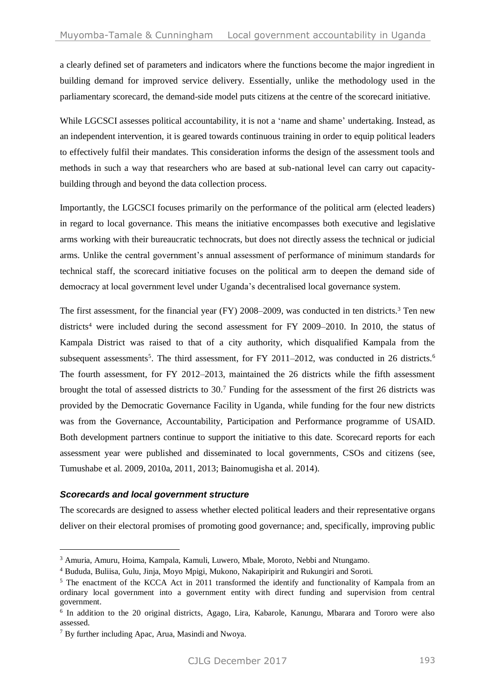a clearly defined set of parameters and indicators where the functions become the major ingredient in building demand for improved service delivery. Essentially, unlike the methodology used in the parliamentary scorecard, the demand-side model puts citizens at the centre of the scorecard initiative.

While LGCSCI assesses political accountability, it is not a 'name and shame' undertaking. Instead, as an independent intervention, it is geared towards continuous training in order to equip political leaders to effectively fulfil their mandates. This consideration informs the design of the assessment tools and methods in such a way that researchers who are based at sub-national level can carry out capacitybuilding through and beyond the data collection process.

Importantly, the LGCSCI focuses primarily on the performance of the political arm (elected leaders) in regard to local governance. This means the initiative encompasses both executive and legislative arms working with their bureaucratic technocrats, but does not directly assess the technical or judicial arms. Unlike the central government's annual assessment of performance of minimum standards for technical staff, the scorecard initiative focuses on the political arm to deepen the demand side of democracy at local government level under Uganda's decentralised local governance system.

The first assessment, for the financial year (FY) 2008–2009, was conducted in ten districts.<sup>3</sup> Ten new districts<sup>4</sup> were included during the second assessment for FY 2009–2010. In 2010, the status of Kampala District was raised to that of a city authority, which disqualified Kampala from the subsequent assessments<sup>5</sup>. The third assessment, for FY 2011–2012, was conducted in 26 districts.<sup>6</sup> The fourth assessment, for FY 2012–2013, maintained the 26 districts while the fifth assessment brought the total of assessed districts to 30.<sup>7</sup> Funding for the assessment of the first 26 districts was provided by the Democratic Governance Facility in Uganda, while funding for the four new districts was from the Governance, Accountability, Participation and Performance programme of USAID. Both development partners continue to support the initiative to this date. Scorecard reports for each assessment year were published and disseminated to local governments, CSOs and citizens (see, Tumushabe et al. 2009, [2010a,](#page-18-9) [2011,](#page-18-10) [2013;](#page-18-11) [Bainomugisha et al.](#page-17-3) 2014).

#### *Scorecards and local government structure*

-

The scorecards are designed to assess whether elected political leaders and their representative organs deliver on their electoral promises of promoting good governance; and, specifically, improving public

<sup>3</sup> Amuria, Amuru, Hoima, Kampala, Kamuli, Luwero, Mbale, Moroto, Nebbi and Ntungamo.

<sup>4</sup> Bududa, Buliisa, Gulu, Jinja, Moyo Mpigi, Mukono, Nakapiripirit and Rukungiri and Soroti.

<sup>&</sup>lt;sup>5</sup> The enactment of the KCCA Act in 2011 transformed the identify and functionality of Kampala from an ordinary local government into a government entity with direct funding and supervision from central government.

<sup>&</sup>lt;sup>6</sup> In addition to the 20 original districts, Agago, Lira, Kabarole, Kanungu, Mbarara and Tororo were also assessed.

<sup>7</sup> By further including Apac, Arua, Masindi and Nwoya.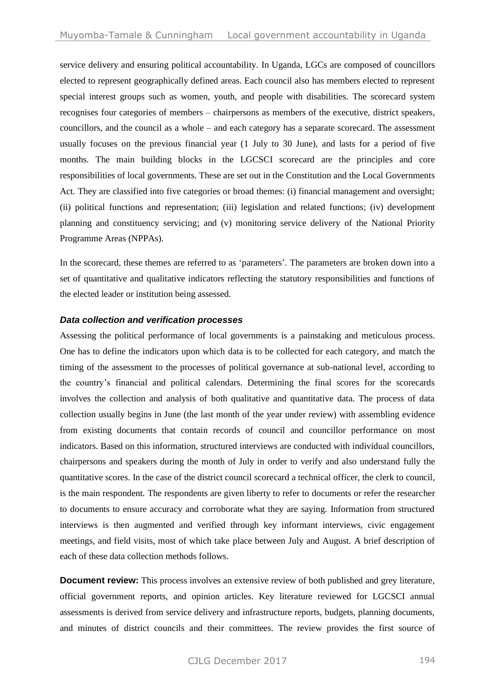service delivery and ensuring political accountability. In Uganda, LGCs are composed of councillors elected to represent geographically defined areas. Each council also has members elected to represent special interest groups such as women, youth, and people with disabilities. The scorecard system recognises four categories of members – chairpersons as members of the executive, district speakers, councillors, and the council as a whole – and each category has a separate scorecard. The assessment usually focuses on the previous financial year (1 July to 30 June), and lasts for a period of five months. The main building blocks in the LGCSCI scorecard are the principles and core responsibilities of local governments. These are set out in the Constitution and the Local Governments Act. They are classified into five categories or broad themes: (i) financial management and oversight; (ii) political functions and representation; (iii) legislation and related functions; (iv) development planning and constituency servicing; and (v) monitoring service delivery of the National Priority Programme Areas (NPPAs).

In the scorecard, these themes are referred to as 'parameters'. The parameters are broken down into a set of quantitative and qualitative indicators reflecting the statutory responsibilities and functions of the elected leader or institution being assessed.

#### *Data collection and verification processes*

Assessing the political performance of local governments is a painstaking and meticulous process. One has to define the indicators upon which data is to be collected for each category, and match the timing of the assessment to the processes of political governance at sub-national level, according to the country's financial and political calendars. Determining the final scores for the scorecards involves the collection and analysis of both qualitative and quantitative data. The process of data collection usually begins in June (the last month of the year under review) with assembling evidence from existing documents that contain records of council and councillor performance on most indicators. Based on this information, structured interviews are conducted with individual councillors, chairpersons and speakers during the month of July in order to verify and also understand fully the quantitative scores. In the case of the district council scorecard a technical officer, the clerk to council, is the main respondent. The respondents are given liberty to refer to documents or refer the researcher to documents to ensure accuracy and corroborate what they are saying. Information from structured interviews is then augmented and verified through key informant interviews, civic engagement meetings, and field visits, most of which take place between July and August. A brief description of each of these data collection methods follows.

**Document review:** This process involves an extensive review of both published and grey literature, official government reports, and opinion articles. Key literature reviewed for LGCSCI annual assessments is derived from service delivery and infrastructure reports, budgets, planning documents, and minutes of district councils and their committees. The review provides the first source of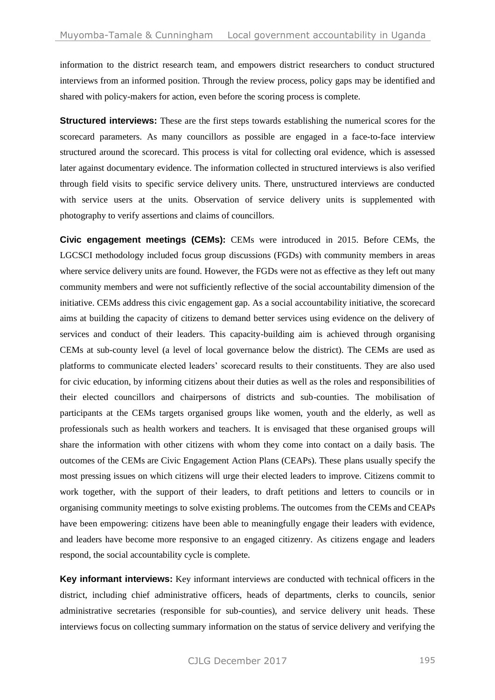information to the district research team, and empowers district researchers to conduct structured interviews from an informed position. Through the review process, policy gaps may be identified and shared with policy-makers for action, even before the scoring process is complete.

**Structured interviews:** These are the first steps towards establishing the numerical scores for the scorecard parameters. As many councillors as possible are engaged in a face-to-face interview structured around the scorecard. This process is vital for collecting oral evidence, which is assessed later against documentary evidence. The information collected in structured interviews is also verified through field visits to specific service delivery units. There, unstructured interviews are conducted with service users at the units. Observation of service delivery units is supplemented with photography to verify assertions and claims of councillors.

**Civic engagement meetings (CEMs):** CEMs were introduced in 2015. Before CEMs, the LGCSCI methodology included focus group discussions (FGDs) with community members in areas where service delivery units are found. However, the FGDs were not as effective as they left out many community members and were not sufficiently reflective of the social accountability dimension of the initiative. CEMs address this civic engagement gap. As a social accountability initiative, the scorecard aims at building the capacity of citizens to demand better services using evidence on the delivery of services and conduct of their leaders. This capacity-building aim is achieved through organising CEMs at sub-county level (a level of local governance below the district). The CEMs are used as platforms to communicate elected leaders' scorecard results to their constituents. They are also used for civic education, by informing citizens about their duties as well as the roles and responsibilities of their elected councillors and chairpersons of districts and sub-counties. The mobilisation of participants at the CEMs targets organised groups like women, youth and the elderly, as well as professionals such as health workers and teachers. It is envisaged that these organised groups will share the information with other citizens with whom they come into contact on a daily basis. The outcomes of the CEMs are Civic Engagement Action Plans (CEAPs). These plans usually specify the most pressing issues on which citizens will urge their elected leaders to improve. Citizens commit to work together, with the support of their leaders, to draft petitions and letters to councils or in organising community meetings to solve existing problems. The outcomes from the CEMs and CEAPs have been empowering: citizens have been able to meaningfully engage their leaders with evidence, and leaders have become more responsive to an engaged citizenry. As citizens engage and leaders respond, the social accountability cycle is complete.

**Key informant interviews:** Key informant interviews are conducted with technical officers in the district, including chief administrative officers, heads of departments, clerks to councils, senior administrative secretaries (responsible for sub-counties), and service delivery unit heads. These interviews focus on collecting summary information on the status of service delivery and verifying the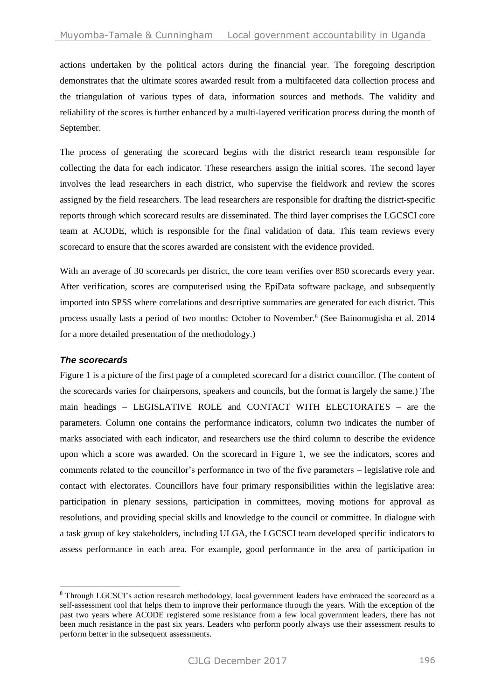actions undertaken by the political actors during the financial year. The foregoing description demonstrates that the ultimate scores awarded result from a multifaceted data collection process and the triangulation of various types of data, information sources and methods. The validity and reliability of the scores is further enhanced by a multi-layered verification process during the month of September.

The process of generating the scorecard begins with the district research team responsible for collecting the data for each indicator. These researchers assign the initial scores. The second layer involves the lead researchers in each district, who supervise the fieldwork and review the scores assigned by the field researchers. The lead researchers are responsible for drafting the district-specific reports through which scorecard results are disseminated. The third layer comprises the LGCSCI core team at ACODE, which is responsible for the final validation of data. This team reviews every scorecard to ensure that the scores awarded are consistent with the evidence provided.

With an average of 30 scorecards per district, the core team verifies over 850 scorecards every year. After verification, scores are computerised using the EpiData software package, and subsequently imported into SPSS where correlations and descriptive summaries are generated for each district. This process usually lasts a period of two months: October to November. 8 (See [Bainomugisha et al. 2014](#page-17-3) for a more detailed presentation of the methodology.)

## *The scorecards*

-

Figure 1 is a picture of the first page of a completed scorecard for a district councillor. (The content of the scorecards varies for chairpersons, speakers and councils, but the format is largely the same.) The main headings – LEGISLATIVE ROLE and CONTACT WITH ELECTORATES – are the parameters. Column one contains the performance indicators, column two indicates the number of marks associated with each indicator, and researchers use the third column to describe the evidence upon which a score was awarded. On the scorecard in Figure 1, we see the indicators, scores and comments related to the councillor's performance in two of the five parameters – legislative role and contact with electorates. Councillors have four primary responsibilities within the legislative area: participation in plenary sessions, participation in committees, moving motions for approval as resolutions, and providing special skills and knowledge to the council or committee. In dialogue with a task group of key stakeholders, including ULGA, the LGCSCI team developed specific indicators to assess performance in each area. For example, good performance in the area of participation in

<sup>&</sup>lt;sup>8</sup> Through LGCSCI's action research methodology, local government leaders have embraced the scorecard as a self-assessment tool that helps them to improve their performance through the years. With the exception of the past two years where ACODE registered some resistance from a few local government leaders, there has not been much resistance in the past six years. Leaders who perform poorly always use their assessment results to perform better in the subsequent assessments.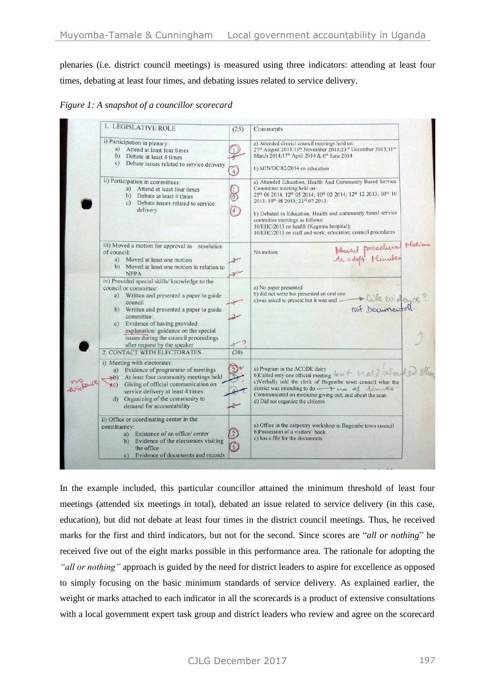plenaries (i.e. district council meetings) is measured using three indicators: attending at least four times, debating at least four times, and debating issues related to service delivery.

*Figure 1: A snapshot of a councillor scorecard*



In the example included, this particular councillor attained the minimum threshold of least four meetings (attended six meetings in total), debated an issue related to service delivery (in this case, education), but did not debate at least four times in the district council meetings. Thus, he received marks for the first and third indicators, but not for the second. Since scores are "*all or nothing*" he received five out of the eight marks possible in this performance area. The rationale for adopting the *"all or nothing"* approach is guided by the need for district leaders to aspire for excellence as opposed to simply focusing on the basic minimum standards of service delivery. As explained earlier, the weight or marks attached to each indicator in all the scorecards is a product of extensive consultations with a local government expert task group and district leaders who review and agree on the scorecard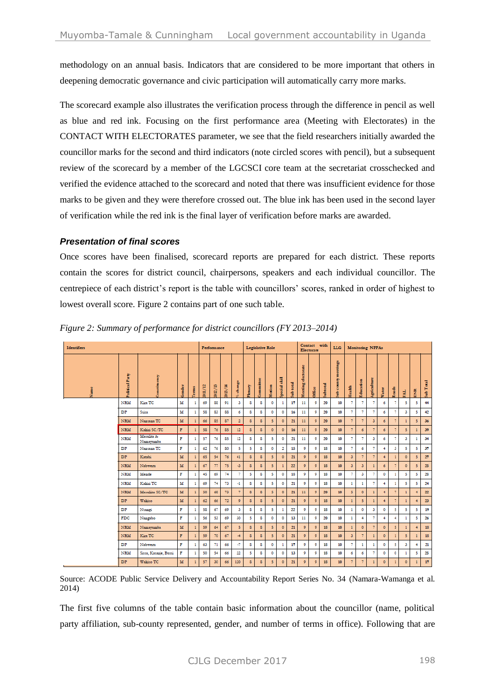methodology on an annual basis. Indicators that are considered to be more important that others in deepening democratic governance and civic participation will automatically carry more marks.

The scorecard example also illustrates the verification process through the difference in pencil as well as blue and red ink. Focusing on the first performance area (Meeting with Electorates) in the CONTACT WITH ELECTORATES parameter, we see that the field researchers initially awarded the councillor marks for the second and third indicators (note circled scores with pencil), but a subsequent review of the scorecard by a member of the LGCSCI core team at the secretariat crosschecked and verified the evidence attached to the scorecard and noted that there was insufficient evidence for those marks to be given and they were therefore crossed out. The blue ink has been used in the second layer of verification while the red ink is the final layer of verification before marks are awarded.

## *Presentation of final scores*

Once scores have been finalised, scorecard reports are prepared for each district. These reports contain the scores for district council, chairpersons, speakers and each individual councillor. The centrepiece of each district's report is the table with councillors' scores, ranked in order of highest to lowest overall score. Figure 2 contains part of one such table.

| <b>Identifiers</b> |                     |                         |              |              |         | Performance                            |            |                          |              | Legislative Role |                |              |           |                           | Contact with<br>Electorate |         |                       | <b>Monitoring NPPAs</b> |                       |                       |                |                   |                |              |               |
|--------------------|---------------------|-------------------------|--------------|--------------|---------|----------------------------------------|------------|--------------------------|--------------|------------------|----------------|--------------|-----------|---------------------------|----------------------------|---------|-----------------------|-------------------------|-----------------------|-----------------------|----------------|-------------------|----------------|--------------|---------------|
| Name               | olitical Party<br>۵ | <b>Zonstinuoncy</b>     | Gender       | <b>Terms</b> | 2011/12 | a<br>∼<br>ø<br>$\overline{\mathbf{z}}$ | 쯴<br>2013, | change<br>$\overline{a}$ | Plenary      | <b>Jommittee</b> | dotion         | pecial skill | iub total | electorate<br>eeting<br>÷ | Diffice                    | ubtotal | meetings<br>ub county | <b>Icalth</b>           | Education             | Agriculture           | Vater          | oads<br>œ         | 보              | ENR          | Sub Total     |
|                    | NRM                 | Kira TC                 | м            | 1            | 69      | 88                                     | 91         | 3                        | s            | 8                | $\circ$        | 1            | 17        | 11                        | 9                          | 20      | 10                    | 7                       | 7                     | 7                     | 6              | 7                 | 5              | 5            | 44            |
|                    | DP                  | Ssisa                   | м            | 1            | 58      | 83                                     | 88         | 6                        | s            | 8                | 0              | o            | 16        | 11                        | 9                          | 20      | 10                    | 7                       | 7                     | 7                     | б              | 7                 | 3              | 5            | 42            |
|                    | <b>NRM</b>          | Nansana TC              | M            |              | 66      | 85                                     | 87         | $\overline{\mathbf{2}}$  | $\mathbf{s}$ | 8                | 5 <sub>5</sub> | $\circ$      | 21        | 11                        | $\overline{9}$             | 20      | 10                    | $\overline{7}$          | $\overline{7}$        | $\overline{\partial}$ | 6              | $\overline{\tau}$ | $\mathbf{1}$   | 5            | 36            |
|                    | <b>NRM</b>          | Kalini SC/TC            | F            |              | 58      | 76                                     | 85         | 12                       | s.           | 8                | $\circ$        | $\circ$      | 16        | 11                        | $\overline{9}$             | 20      | 10                    | $\overline{7}$          | $\mathbf 6$           | $\overline{7}$        | 6              | $\overline{7}$    | 5              | $\mathbf{1}$ | 39            |
|                    | <b>NRM</b>          | Masulita &<br>Namayumba | F            | 1            | 57      | 76                                     | 85         | 12                       | 8            | 8                | 5              | 0            | 21        | 11                        | 9                          | 20      | 10                    | 7                       | 7                     | 3                     | 6              | 7                 | 3              | 1            | 34            |
|                    | DP                  | Nansana TC              | F            | 1            | 62      | 76                                     | 80         | 5                        | 5            | s                | 0              | 2            | 15        | 9                         | 9                          | 18      | 10                    | 7                       | 6                     | 7                     | 4              | з                 | 5              | 5            | 37            |
|                    | <b>DP</b>           | Katabi                  | M            |              | 65      | 54                                     | 76         | 41                       | 8            | 8                | 5 <sub>1</sub> | $\circ$      | 21        | $\overline{9}$            | $\mathsf{Q}$               | 18      | 10                    | $\overline{\partial}$   | $\overline{7}$        | $\overline{7}$        | $\overline{4}$ | n                 | $\circ$        | 5            | 27            |
|                    | <b>NRM</b>          | <b>Nabwern</b>          | M            | 1            | 67      | 77                                     | 75         | $-3$                     | $\mathbf{s}$ | 8                | 5              | 1            | 22        | $\mathsf{D}$              | $\mathsf{S}$               | 18      | 10                    | $\mathfrak{z}$          | $\overline{\partial}$ | 1                     | 6              | $\overline{7}$    | $\circ$        | 5            | 25            |
|                    | NRM                 | Mende                   | F            | 1            | 45      | 69                                     | 74         | 7                        | 5            | 8                | 5              | 0            | 18        | 9                         | 9                          | 18      | 10                    | 7                       | 3                     | 7                     | 0              | $\mathbf{1}$      | 5              | 5            | 28            |
|                    | NRM                 | Kalini TC               | м            | 1            | 69      | 74                                     | 73         | $-1$                     | 8            | 8                | 5              | o            | 21        | 9                         | 9                          | 18      | 10                    | $\mathbf{1}$            | 1                     | 7                     | 4              | 1                 | 5              | 5            | 24            |
|                    | <b>NRM</b>          | Masuliita SC/TC         | M            | 1            | 50      | 68                                     | 73         | $\overline{7}$           | s            | s                | 5              | $\circ$      | 21        | 11                        | $\overline{9}$             | 20      | 10                    | 5                       | $\circ$               | $\mathbf{1}$          | $\overline{4}$ | $\overline{\tau}$ | $\mathbf{1}$   | $\ddot{}$    | $\mathbf{22}$ |
|                    | DP.                 | Wakiso                  | M            |              | 62      | 66                                     | 72         | $\mathbf{9}$             | 8            | 8                | 5              | $\circ$      | 21        | $\mathbf{9}$              | $\mathbf{9}$               | 18      | 10                    | $\mathbf{1}$            | 5                     | $\mathbf{1}$          | $\overline{4}$ | $\overline{\tau}$ | $\mathbf{1}$   | $\ddot{}$    | 23            |
|                    | DP                  | Nsangi                  | F            | 1            | 58      | 67                                     | 69         | 3                        | 8            | 8                | 5              | 1            | 22        | 9                         | 9                          | 18      | 10                    | $\mathbf{1}$            | ٥                     | 3                     | 0              | 5                 | 5              | 5            | 19            |
|                    | <b>FDC</b>          | Nangabo                 | F            | 1            | 56      | 53                                     | 69         | 30                       | 5            | 8                | 0              | 0            | 13        | 11                        | 9                          | 20      | 10                    | 1                       | 4                     | 7                     | 4              | 4                 | 1              | 5            | 26            |
|                    | <b>NRM</b>          | Namayumba               | M            |              | 59      | 64                                     | 67         | 5                        | s            | 8                | 5              | $\circ$      | 21        | $\mathsf{D}$              | $\overline{9}$             | 18      | 10                    | $\mathbf{1}$            | $\circ$               | 7                     | $\bullet$      | 5                 | $\mathbf{1}$   | 4            | 18            |
|                    | <b>NRM</b>          | Kira TC                 | F            |              | 59      | 70                                     | 67         | -4                       | 8            | 8                | 5              | $\circ$      | 21        | $\mathsf{D}$              | $\overline{9}$             | 18      | 10                    | $\mathfrak{z}$          | $\overline{7}$        |                       | $\circ$        | $\mathbf{1}$      | 5 <sub>5</sub> | 1            | 18            |
|                    | DP                  | Nabwern                 | F            | 1            | 63      | 71                                     | 66         | -7                       | s            | 8                | $\circ$        | 1            | 17        | 9                         | 9                          | 18      | 10                    | 7                       | 1                     | 1                     | ۰              | 5                 | 3              | 4            | 21            |
|                    | NRM                 | Sissa, Kasanje, Bussi   | F            | ١            | 50      | 54                                     | 66         | 22                       | 5            | 8                | $\circ$        | $\circ$      | 13        | 9                         | 9                          | 18      | 10                    | 6                       | 6                     | 7                     | 0              | $\circ$           | 1              | 5            | 25            |
|                    | <b>DP</b>           | Wakiso TC               | $\mathbf{M}$ |              | 57      | 30                                     | 66         | 120                      | 8            | s                | 5              | $\circ$      | 21        | $\overline{9}$            | $\overline{9}$             | 18      | 10                    | $\overline{7}$          | $\overline{7}$        |                       | $\circ$        | 1                 | $\circ$        | $\mathbf{1}$ | $17\,$        |

*Figure 2: Summary of performance for district councillors (FY 2013–2014)*

Source: ACODE Public Service Delivery and Accountability Report Series No. 34 [\(Namara-Wamanga et al.](#page-18-12) [2014\)](#page-18-12)

The first five columns of the table contain basic information about the councillor (name, political party affiliation, sub-county represented, gender, and number of terms in office). Following that are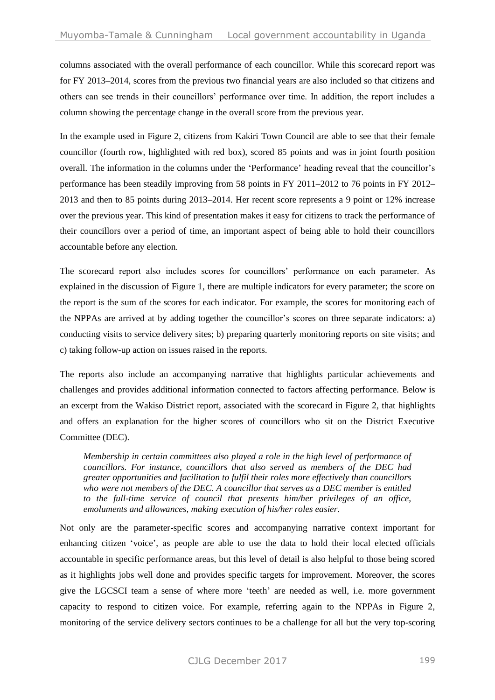columns associated with the overall performance of each councillor. While this scorecard report was for FY 2013–2014, scores from the previous two financial years are also included so that citizens and others can see trends in their councillors' performance over time. In addition, the report includes a column showing the percentage change in the overall score from the previous year.

In the example used in Figure 2, citizens from Kakiri Town Council are able to see that their female councillor (fourth row, highlighted with red box), scored 85 points and was in joint fourth position overall. The information in the columns under the 'Performance' heading reveal that the councillor's performance has been steadily improving from 58 points in FY 2011–2012 to 76 points in FY 2012– 2013 and then to 85 points during 2013–2014. Her recent score represents a 9 point or 12% increase over the previous year. This kind of presentation makes it easy for citizens to track the performance of their councillors over a period of time, an important aspect of being able to hold their councillors accountable before any election.

The scorecard report also includes scores for councillors' performance on each parameter. As explained in the discussion of Figure 1, there are multiple indicators for every parameter; the score on the report is the sum of the scores for each indicator. For example, the scores for monitoring each of the NPPAs are arrived at by adding together the councillor's scores on three separate indicators: a) conducting visits to service delivery sites; b) preparing quarterly monitoring reports on site visits; and c) taking follow-up action on issues raised in the reports.

The reports also include an accompanying narrative that highlights particular achievements and challenges and provides additional information connected to factors affecting performance. Below is an excerpt from the Wakiso District report, associated with the scorecard in Figure 2, that highlights and offers an explanation for the higher scores of councillors who sit on the District Executive Committee (DEC).

*Membership in certain committees also played a role in the high level of performance of councillors. For instance, councillors that also served as members of the DEC had greater opportunities and facilitation to fulfil their roles more effectively than councillors who were not members of the DEC. A councillor that serves as a DEC member is entitled to the full-time service of council that presents him/her privileges of an office, emoluments and allowances, making execution of his/her roles easier.* 

Not only are the parameter-specific scores and accompanying narrative context important for enhancing citizen 'voice', as people are able to use the data to hold their local elected officials accountable in specific performance areas, but this level of detail is also helpful to those being scored as it highlights jobs well done and provides specific targets for improvement. Moreover, the scores give the LGCSCI team a sense of where more 'teeth' are needed as well, i.e. more government capacity to respond to citizen voice. For example, referring again to the NPPAs in Figure 2, monitoring of the service delivery sectors continues to be a challenge for all but the very top-scoring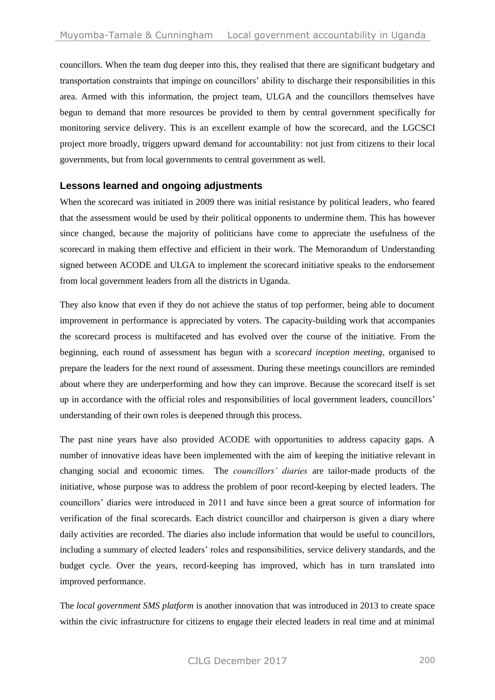councillors. When the team dug deeper into this, they realised that there are significant budgetary and transportation constraints that impinge on councillors' ability to discharge their responsibilities in this area. Armed with this information, the project team, ULGA and the councillors themselves have begun to demand that more resources be provided to them by central government specifically for monitoring service delivery. This is an excellent example of how the scorecard, and the LGCSCI project more broadly, triggers upward demand for accountability: not just from citizens to their local governments, but from local governments to central government as well.

## **Lessons learned and ongoing adjustments**

When the scorecard was initiated in 2009 there was initial resistance by political leaders, who feared that the assessment would be used by their political opponents to undermine them. This has however since changed, because the majority of politicians have come to appreciate the usefulness of the scorecard in making them effective and efficient in their work. The Memorandum of Understanding signed between ACODE and ULGA to implement the scorecard initiative speaks to the endorsement from local government leaders from all the districts in Uganda.

They also know that even if they do not achieve the status of top performer, being able to document improvement in performance is appreciated by voters. The capacity-building work that accompanies the scorecard process is multifaceted and has evolved over the course of the initiative. From the beginning, each round of assessment has begun with a *scorecard inception meeting*, organised to prepare the leaders for the next round of assessment. During these meetings councillors are reminded about where they are underperforming and how they can improve. Because the scorecard itself is set up in accordance with the official roles and responsibilities of local government leaders, councillors' understanding of their own roles is deepened through this process.

The past nine years have also provided ACODE with opportunities to address capacity gaps. A number of innovative ideas have been implemented with the aim of keeping the initiative relevant in changing social and economic times. The *councillors' diaries* are tailor-made products of the initiative, whose purpose was to address the problem of poor record-keeping by elected leaders. The councillors' diaries were introduced in 2011 and have since been a great source of information for verification of the final scorecards. Each district councillor and chairperson is given a diary where daily activities are recorded. The diaries also include information that would be useful to councillors, including a summary of elected leaders' roles and responsibilities, service delivery standards, and the budget cycle. Over the years, record-keeping has improved, which has in turn translated into improved performance.

The *local government SMS platform* is another innovation that was introduced in 2013 to create space within the civic infrastructure for citizens to engage their elected leaders in real time and at minimal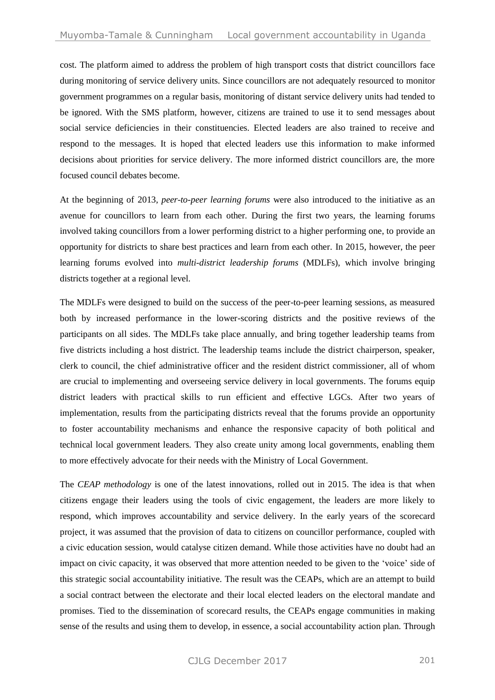cost. The platform aimed to address the problem of high transport costs that district councillors face during monitoring of service delivery units. Since councillors are not adequately resourced to monitor government programmes on a regular basis, monitoring of distant service delivery units had tended to be ignored. With the SMS platform, however, citizens are trained to use it to send messages about social service deficiencies in their constituencies. Elected leaders are also trained to receive and respond to the messages. It is hoped that elected leaders use this information to make informed decisions about priorities for service delivery. The more informed district councillors are, the more focused council debates become.

At the beginning of 2013, *peer-to-peer learning forums* were also introduced to the initiative as an avenue for councillors to learn from each other. During the first two years, the learning forums involved taking councillors from a lower performing district to a higher performing one, to provide an opportunity for districts to share best practices and learn from each other. In 2015, however, the peer learning forums evolved into *multi-district leadership forums* (MDLFs), which involve bringing districts together at a regional level.

The MDLFs were designed to build on the success of the peer-to-peer learning sessions, as measured both by increased performance in the lower-scoring districts and the positive reviews of the participants on all sides. The MDLFs take place annually, and bring together leadership teams from five districts including a host district. The leadership teams include the district chairperson, speaker, clerk to council, the chief administrative officer and the resident district commissioner, all of whom are crucial to implementing and overseeing service delivery in local governments. The forums equip district leaders with practical skills to run efficient and effective LGCs. After two years of implementation, results from the participating districts reveal that the forums provide an opportunity to foster accountability mechanisms and enhance the responsive capacity of both political and technical local government leaders. They also create unity among local governments, enabling them to more effectively advocate for their needs with the Ministry of Local Government.

The *CEAP methodology* is one of the latest innovations, rolled out in 2015. The idea is that when citizens engage their leaders using the tools of civic engagement, the leaders are more likely to respond, which improves accountability and service delivery. In the early years of the scorecard project, it was assumed that the provision of data to citizens on councillor performance, coupled with a civic education session, would catalyse citizen demand. While those activities have no doubt had an impact on civic capacity, it was observed that more attention needed to be given to the 'voice' side of this strategic social accountability initiative. The result was the CEAPs, which are an attempt to build a social contract between the electorate and their local elected leaders on the electoral mandate and promises. Tied to the dissemination of scorecard results, the CEAPs engage communities in making sense of the results and using them to develop, in essence, a social accountability action plan. Through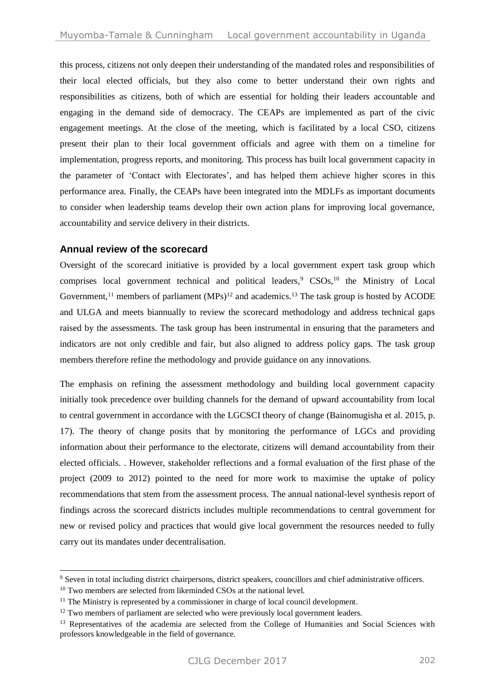this process, citizens not only deepen their understanding of the mandated roles and responsibilities of their local elected officials, but they also come to better understand their own rights and responsibilities as citizens, both of which are essential for holding their leaders accountable and engaging in the demand side of democracy. The CEAPs are implemented as part of the civic engagement meetings. At the close of the meeting, which is facilitated by a local CSO, citizens present their plan to their local government officials and agree with them on a timeline for implementation, progress reports, and monitoring. This process has built local government capacity in the parameter of 'Contact with Electorates', and has helped them achieve higher scores in this performance area. Finally, the CEAPs have been integrated into the MDLFs as important documents to consider when leadership teams develop their own action plans for improving local governance, accountability and service delivery in their districts.

#### **Annual review of the scorecard**

Oversight of the scorecard initiative is provided by a local government expert task group which comprises local government technical and political leaders,<sup>9</sup> CSOs,<sup>10</sup> the Ministry of Local Government,<sup>11</sup> members of parliament  $(MPs)^{12}$  and academics.<sup>13</sup> The task group is hosted by ACODE and ULGA and meets biannually to review the scorecard methodology and address technical gaps raised by the assessments. The task group has been instrumental in ensuring that the parameters and indicators are not only credible and fair, but also aligned to address policy gaps. The task group members therefore refine the methodology and provide guidance on any innovations.

The emphasis on refining the assessment methodology and building local government capacity initially took precedence over building channels for the demand of upward accountability from local to central government in accordance with the LGCSCI theory of change (Bainomugisha et al. 2015, p. 17). The theory of change posits that by monitoring the performance of LGCs and providing information about their performance to the electorate, citizens will demand accountability from their elected officials. . However, stakeholder reflections and a formal evaluation of the first phase of the project (2009 to 2012) pointed to the need for more work to maximise the uptake of policy recommendations that stem from the assessment process. The annual national-level synthesis report of findings across the scorecard districts includes multiple recommendations to central government for new or revised policy and practices that would give local government the resources needed to fully carry out its mandates under decentralisation.

 $\overline{a}$ 

<sup>9</sup> Seven in total including district chairpersons, district speakers, councillors and chief administrative officers.

<sup>&</sup>lt;sup>10</sup> Two members are selected from likeminded CSOs at the national level.

<sup>&</sup>lt;sup>11</sup> The Ministry is represented by a commissioner in charge of local council development.

<sup>&</sup>lt;sup>12</sup> Two members of parliament are selected who were previously local government leaders.

<sup>&</sup>lt;sup>13</sup> Representatives of the academia are selected from the College of Humanities and Social Sciences with professors knowledgeable in the field of governance.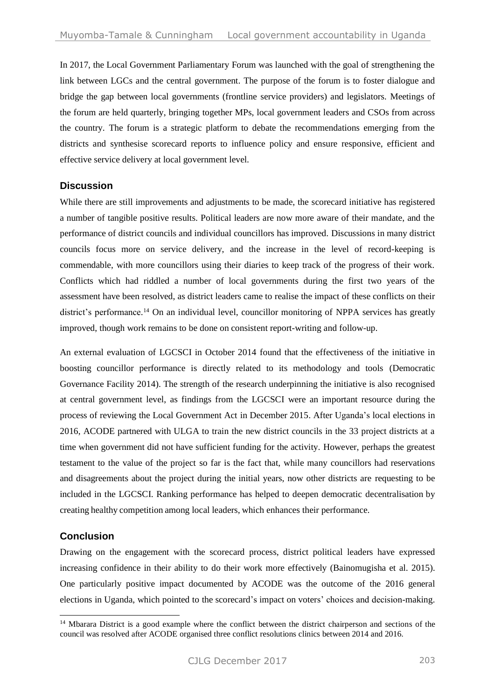In 2017, the Local Government Parliamentary Forum was launched with the goal of strengthening the link between LGCs and the central government. The purpose of the forum is to foster dialogue and bridge the gap between local governments (frontline service providers) and legislators. Meetings of the forum are held quarterly, bringing together MPs, local government leaders and CSOs from across the country. The forum is a strategic platform to debate the recommendations emerging from the districts and synthesise scorecard reports to influence policy and ensure responsive, efficient and effective service delivery at local government level.

## **Discussion**

While there are still improvements and adjustments to be made, the scorecard initiative has registered a number of tangible positive results. Political leaders are now more aware of their mandate, and the performance of district councils and individual councillors has improved. Discussions in many district councils focus more on service delivery, and the increase in the level of record-keeping is commendable, with more councillors using their diaries to keep track of the progress of their work. Conflicts which had riddled a number of local governments during the first two years of the assessment have been resolved, as district leaders came to realise the impact of these conflicts on their district's performance.<sup>14</sup> On an individual level, councillor monitoring of NPPA services has greatly improved, though work remains to be done on consistent report-writing and follow-up.

An external evaluation of LGCSCI in October 2014 found that the effectiveness of the initiative in boosting councillor performance is directly related to its methodology and tools (Democratic Governance Facility 2014). The strength of the research underpinning the initiative is also recognised at central government level, as findings from the LGCSCI were an important resource during the process of reviewing the Local Government Act in December 2015. After Uganda's local elections in 2016, ACODE partnered with ULGA to train the new district councils in the 33 project districts at a time when government did not have sufficient funding for the activity. However, perhaps the greatest testament to the value of the project so far is the fact that, while many councillors had reservations and disagreements about the project during the initial years, now other districts are requesting to be included in the LGCSCI. Ranking performance has helped to deepen democratic decentralisation by creating healthy competition among local leaders, which enhances their performance.

# **Conclusion**

 $\overline{a}$ 

Drawing on the engagement with the scorecard process, district political leaders have expressed increasing confidence in their ability to do their work more effectively (Bainomugisha et al. 2015). One particularly positive impact documented by ACODE was the outcome of the 2016 general elections in Uganda, which pointed to the scorecard's impact on voters' choices and decision-making.

<sup>&</sup>lt;sup>14</sup> Mbarara District is a good example where the conflict between the district chairperson and sections of the council was resolved after ACODE organised three conflict resolutions clinics between 2014 and 2016.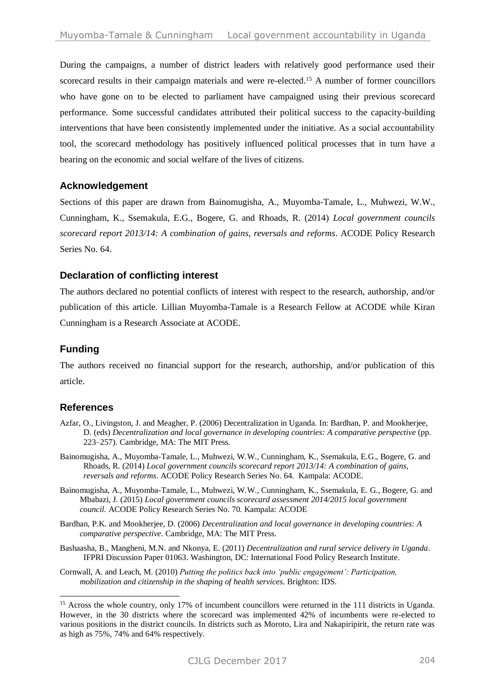During the campaigns, a number of district leaders with relatively good performance used their scorecard results in their campaign materials and were re-elected.<sup>15</sup> A number of former councillors who have gone on to be elected to parliament have campaigned using their previous scorecard performance. Some successful candidates attributed their political success to the capacity-building interventions that have been consistently implemented under the initiative. As a social accountability tool, the scorecard methodology has positively influenced political processes that in turn have a bearing on the economic and social welfare of the lives of citizens.

## **Acknowledgement**

Sections of this paper are drawn from Bainomugisha, A., Muyomba-Tamale, L., Muhwezi, W.W., Cunningham, K., Ssemakula, E.G., Bogere, G. and Rhoads, R. (2014) *Local government councils scorecard report 2013/14: A combination of gains, reversals and reforms*. ACODE Policy Research Series No. 64.

## **Declaration of conflicting interest**

The authors declared no potential conflicts of interest with respect to the research, authorship, and/or publication of this article. Lillian Muyomba-Tamale is a Research Fellow at ACODE while Kiran Cunningham is a Research Associate at ACODE.

## **Funding**

The authors received no financial support for the research, authorship, and/or publication of this article.

## **References**

-

- <span id="page-17-1"></span>Azfar, O., Livingston, J. and Meagher, P. (2006) Decentralization in Uganda. In: Bardhan, P. and Mookherjee, D. (eds) *Decentralization and local governance in developing countries: A comparative perspective* (pp. 223–257). Cambridge, MA: The MIT Press.
- <span id="page-17-3"></span>Bainomugisha, A., Muyomba-Tamale, L., Muhwezi, W.W., Cunningham, K., Ssemakula, E.G., Bogere, G. and Rhoads, R. (2014) *Local government councils scorecard report 2013/14: A combination of gains, reversals and reforms*. ACODE Policy Research Series No. 64. Kampala: ACODE.
- Bainomugisha, A., Muyomba-Tamale, L., Muhwezi, W.W., Cunningham, K., Ssemakula, E. G., Bogere, G. and Mbabazi, J. (2015) *Local government councils scorecard assessment 2014/2015 local government council.* ACODE Policy Research Series No. 70*.* Kampala: ACODE
- <span id="page-17-2"></span>Bardhan, P.K. and Mookherjee, D. (2006) *Decentralization and local governance in developing countries: A comparative perspective*. Cambridge, MA: The MIT Press.
- <span id="page-17-0"></span>Bashaasha, B., Mangheni, M.N. and Nkonya, E. (2011) *Decentralization and rural service delivery in Uganda*. IFPRI Discussion Paper 01063. Washington, DC: International Food Policy Research Institute.
- Cornwall, A. and Leach, M. (2010) *Putting the politics back into 'public engagement': Participation, mobilization and citizenship in the shaping of health services*. Brighton: IDS.

<sup>&</sup>lt;sup>15</sup> Across the whole country, only 17% of incumbent councillors were returned in the 111 districts in Uganda. However, in the 30 districts where the scorecard was implemented 42% of incumbents were re-elected to various positions in the district councils. In districts such as Moroto, Lira and Nakapiripirit, the return rate was as high as 75%, 74% and 64% respectively.